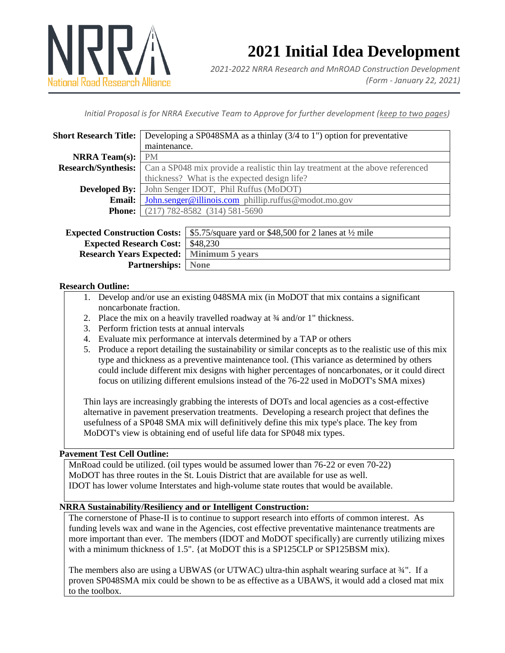

# **2021 Initial Idea Development**

*2021-2022 NRRA Research and MnROAD Construction Development (Form - January 22, 2021)*

*Initial Proposal is for NRRA Executive Team to Approve for further development (keep to two pages)*

| <b>Short Research Title:</b>        | Developing a SP048SMA as a thinlay (3/4 to 1") option for preventative         |                                                                  |
|-------------------------------------|--------------------------------------------------------------------------------|------------------------------------------------------------------|
|                                     | maintenance.                                                                   |                                                                  |
| <b>NRRA</b> Team(s):                | <b>PM</b>                                                                      |                                                                  |
| <b>Research/Synthesis:</b>          | Can a SP048 mix provide a realistic thin lay treatment at the above referenced |                                                                  |
|                                     | thickness? What is the expected design life?                                   |                                                                  |
| <b>Developed By:</b>                | John Senger IDOT, Phil Ruffus (MoDOT)                                          |                                                                  |
| Email:                              | John.senger@illinois.com phillip.ruffus@modot.mo.gov                           |                                                                  |
| <b>Phone:</b>                       | $(217) 782 - 8582$ $(314) 581 - 5690$                                          |                                                                  |
|                                     |                                                                                |                                                                  |
| <b>Expected Construction Costs:</b> |                                                                                | \$5.75/square yard or \$48,500 for 2 lanes at $\frac{1}{2}$ mile |
| <b>Expected Research Cost:</b>      |                                                                                | \$48,230                                                         |
| <b>Research Years Expected:</b>     |                                                                                | <b>Minimum 5 years</b>                                           |

## **Research Outline:**

- 1. Develop and/or use an existing 048SMA mix (in MoDOT that mix contains a significant noncarbonate fraction.
- 2. Place the mix on a heavily travelled roadway at <sup>3</sup>/4 and/or 1" thickness.
- 3. Perform friction tests at annual intervals

**Partnerships:** None

- 4. Evaluate mix performance at intervals determined by a TAP or others
- 5. Produce a report detailing the sustainability or similar concepts as to the realistic use of this mix type and thickness as a preventive maintenance tool. (This variance as determined by others could include different mix designs with higher percentages of noncarbonates, or it could direct focus on utilizing different emulsions instead of the 76-22 used in MoDOT's SMA mixes)

Thin lays are increasingly grabbing the interests of DOTs and local agencies as a cost-effective alternative in pavement preservation treatments. Developing a research project that defines the usefulness of a SP048 SMA mix will definitively define this mix type's place. The key from MoDOT's view is obtaining end of useful life data for SP048 mix types.

## **Pavement Test Cell Outline:**

MnRoad could be utilized. (oil types would be assumed lower than 76-22 or even 70-22) MoDOT has three routes in the St. Louis District that are available for use as well. IDOT has lower volume Interstates and high-volume state routes that would be available.

## **NRRA Sustainability/Resiliency and or Intelligent Construction:**

The cornerstone of Phase-II is to continue to support research into efforts of common interest. As funding levels wax and wane in the Agencies, cost effective preventative maintenance treatments are more important than ever. The members (IDOT and MoDOT specifically) are currently utilizing mixes with a minimum thickness of 1.5". {at MoDOT this is a SP125CLP or SP125BSM mix).

The members also are using a UBWAS (or UTWAC) ultra-thin asphalt wearing surface at ¾". If a proven SP048SMA mix could be shown to be as effective as a UBAWS, it would add a closed mat mix to the toolbox.